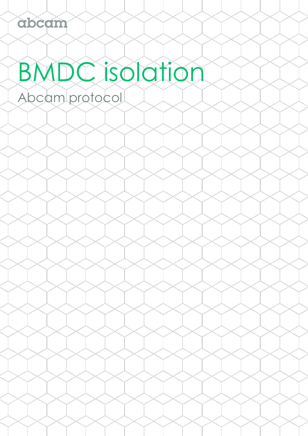# BMDC isolation

Abcam protocol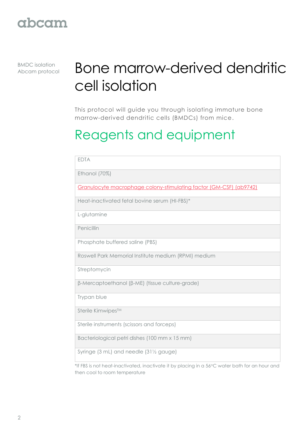BMDC isolation

# **BMDC isolation Bone marrow-derived dendritic** cell isolation

This protocol will guide you through isolating immature bone marrow-derived dendritic cells (BMDCs) from mice.

# Reagents and equipment

| <b>EDTA</b>                                                                                   |  |
|-----------------------------------------------------------------------------------------------|--|
| Ethanol (70%)                                                                                 |  |
| Granulocyte macrophage colony-stimulating factor (GM-CSF) (ab9742)                            |  |
| Heat-inactivated fetal bovine serum (HI-FBS)*                                                 |  |
| L-glutamine                                                                                   |  |
| Penicillin                                                                                    |  |
| Phosphate buffered saline (PBS)                                                               |  |
| Roswell Park Memorial Institute medium (RPMI) medium                                          |  |
| Streptomycin                                                                                  |  |
| β-Mercaptoethanol (β-ME) (tissue culture-grade)                                               |  |
| Trypan blue                                                                                   |  |
| Sterile Kimwipes™                                                                             |  |
| Sterile instruments (scissors and forceps)                                                    |  |
| Bacteriological petri dishes (100 mm x 15 mm)                                                 |  |
| Syringe (3 mL) and needle (311/2 gauge)                                                       |  |
| *If FRS is not heat-inactivated inactivate it by placing in a 560C water bath for an hour and |  |

 $^{\ast}$ If FBS is not heat-inactivated, inactivate it by placing in a 56°C water bath for an nour and  $\,$ then cool to room temperature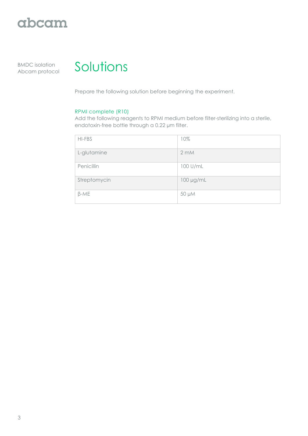

BMDC isolation



Prepare the following solution before beginning the experiment.

#### RPMI complete (R10)

Add the following reagents to RPMI medium before filter-sterilizing into a sterile, endotoxin-free bottle through a 0.22 µm filter.

| HI-FBS       | 10%               |
|--------------|-------------------|
| L-glutamine  | $2 \, \text{m}$ M |
| Penicillin   | 100 U/mL          |
| Streptomycin | 100 µg/mL         |
| $\beta$ -ME  | 50 µM             |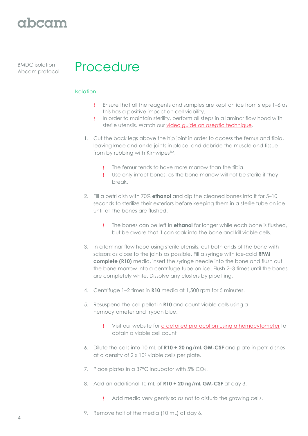BMDC isolation



#### Isolation

- Ensure that all the reagents and samples are kept on ice from steps 1–6 as this has a positive impact on cell viability.
- In order to maintain sterility, perform all steps in a laminar flow hood with sterile utensils. Watch our [video guide on aseptic technique.](http://www.abcam.com/protocols/aseptic-technique-video-protocol)
- 1. Cut the back legs above the hip joint in order to access the femur and tibia, leaving knee and ankle joints in place, and debride the muscle and tissue from by rubbing with Kimwipes™.
	- The femur tends to have more marrow than the tibia.
	- Use only intact bones, as the bone marrow will not be sterile if they break.
- 2. Fill a petri dish with 70% **ethanol** and dip the cleaned bones into it for 5–10 seconds to sterilize their exteriors before keeping them in a sterile tube on ice until all the bones are flushed.
	- The bones can be left in **ethanol** for longer while each bone is flushed, but be aware that it can soak into the bone and kill viable cells.
- 3. In a laminar flow hood using sterile utensils, cut both ends of the bone with scissors as close to the joints as possible. Fill a syringe with ice-cold **RPMI complete (R10)** media, insert the syringe needle into the bone and flush out the bone marrow into a centrifuge tube on ice. Flush 2–3 times until the bones are completely white. Dissolve any clusters by pipetting.
- 4. Centrifuge 1–2 times in **R10** media at 1,500 rpm for 5 minutes.
- 5. Resuspend the cell pellet in **R10** and count viable cells using a hemocytometer and trypan blue.
	- Visit our website for [a detailed protocol on using a hemocytometer](http://www.abcam.com/protocols/counting-cells-using-a-haemocytometer) to obtain a viable cell count
- 6. Dilute the cells into 10 mL of **R10 + 20 ng/mL GM-CSF** and plate in petri dishes at a density of 2 x 10<sup>6</sup> viable cells per plate.
- 7. Place plates in a 37°C incubator with 5% CO2.
- 8. Add an additional 10 mL of **R10 + 20 ng/mL GM-CSF** at day 3.
	- Add media very gently so as not to disturb the growing cells.
- 9. Remove half of the media (10 mL) at day 6.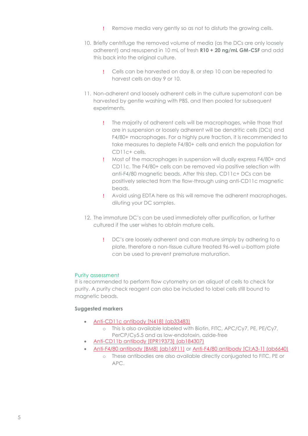- Remove media very gently so as not to disturb the growing cells.
- 10. Briefly centrifuge the removed volume of media (as the DCs are only loosely adherent) and resuspend in 10 mL of fresh **R10 + 20 ng/mL GM-CSF** and add this back into the original culture.
	- Cells can be harvested on day 8, or step 10 can be repeated to harvest cells on day 9 or 10.
- 11. Non-adherent and loosely adherent cells in the culture supernatant can be harvested by gentle washing with PBS, and then pooled for subsequent experiments.
	- The majority of adherent cells will be macrophages, while those that are in suspension or loosely adherent will be dendritic cells (DCs) and F4/80+ macrophages. For a highly pure fraction, it is recommended to take measures to deplete F4/80+ cells and enrich the population for CD11c+ cells.
	- Most of the macrophages in suspension will dually express F4/80+ and CD11c. The F4/80+ cells can be removed via positive selection with anti-F4/80 magnetic beads. After this step, CD11c+ DCs can be positively selected from the flow-through using anti-CD11c magnetic beads.
	- Avoid using EDTA here as this will remove the adherent macrophages, diluting your DC samples.
- 12. The immature DC's can be used immediately after purification, or further cultured if the user wishes to obtain mature cells.
	- DC's are loosely adherent and can mature simply by adhering to a plate, therefore a non-tissue culture treated 96-well u-bottom plate can be used to prevent premature maturation.

#### Purity assessment

It is recommended to perform flow cytometry on an aliquot of cells to check for purity. A purity check reagent can also be included to label cells still bound to magnetic beads.

#### **Suggested markers**

- [Anti-CD11c antibody \[N418\] \(ab33483\)](http://www.abcam.com/cd11c-antibody-n418-ab33483.html)
	- o This is also available labeled with Biotin, FITC, APC/Cy7, PE, PE/Cy7, PerCP/Cy5.5 and as low-endotoxin, azide-free
- [Anti-CD11b antibody \[EPR19373\] \(ab184307\)](http://www.abcam.com/cd11b-antibody-epr19373-ab184307.html)
- [Anti-F4/80 antibody \[BM8\]](http://www.abcam.com/f480-antibody-bm8-ab16911.html) (ab16911) or [Anti-F4/80 antibody \[CI:A3-1\] \(ab6640\)](http://www.abcam.com/f480-antibody-cia3-1-ab6640.html)
	- o These antibodies are also available directly conjugated to FITC, PE or APC.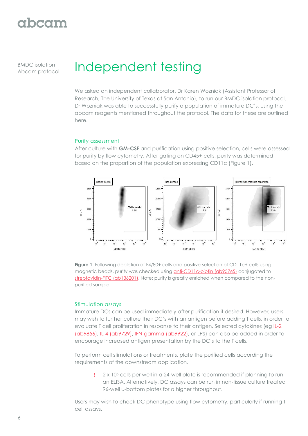BMDC isolation

# BMDC isolation **Independent testing**

We asked an independent collaborator, Dr Karen Wozniak (Assistant Professor of Research, The University of Texas at San Antonio), to run our BMDC isolation protocol. Dr Wozniak was able to successfully purify a population of immature DC's, using the abcam reagents mentioned throughout the protocol. The data for these are outlined here.

#### Purity assessment

After culture with **GM-CSF** and purification using positive selection, cells were assessed for purity by flow cytometry. After gating on CD45+ cells, purity was determined based on the proportion of the population expressing CD11c (Figure 1).



**Figure 1.** Following depletion of F4/80+ cells and positive selection of CD11c+ cells using magnetic beads, purity was checked using **anti-CD11c-biotin (ab95765)** conjugated to [streptavidin-FITC \(ab136201\).](http://www.abcam.com/natural-streptavidin-protein-fitc-ab136201.html) Note: purity is greatly enriched when compared to the nonpurified sample.

#### Stimulation assays

Immature DCs can be used immediately after purification if desired. However, users may wish to further culture their DC's with an antigen before adding T cells, in order to evaluate T cell proliferation in response to their antigen. Selected cytokines (eg [IL-2](http://www.abcam.com/recombinant-mouse-il2-protein-ab9856.html)  [\(ab9856\),](http://www.abcam.com/recombinant-mouse-il2-protein-ab9856.html) [IL-4 \(ab9729\),](http://www.abcam.com/recombinant-mouse-il4-protein-ab9729.html) [IFN-gamma \(ab9922\),](http://www.abcam.com/recombinant-mouse-interferon-gamma-protein-ab9922.html) or LPS) can also be added in order to encourage increased antigen presentation by the DC's to the T cells.

To perform cell stimulations or treatments, plate the purified cells according the requirements of the downstream application.

 $2 \times 10^5$  cells per well in a 24-well plate is recommended if planning to run an ELISA. Alternatively, DC assays can be run in non-tissue culture treated 96-well u-bottom plates for a higher throughput.

Users may wish to check DC phenotype using flow cytometry, particularly if running T cell assays.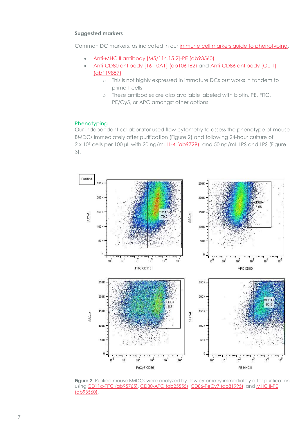#### **Suggested markers**

Common DC markers, as indicated in our [immune cell markers guide to phenotyping.](http://www.abcam.com/primary-antibodies/immune-cell-markers-poster)

- [Anti-MHC II antibody \[M5/114.15.2\]-PE \(ab93560\)](http://www.abcam.com/mhc-class-ii-antibody-m5114152-phycoerythrin-ab93560.html)
- [Anti-CD80 antibody \[16-10A1\] \(ab106162\)](http://www.abcam.com/cd80-antibody-16-10a1-ab106162.html) and [Anti-CD86 antibody \[GL-1\]](http://www.abcam.com/cd86-antibody-gl-1-ab119857.html)  [\(ab119857\)](http://www.abcam.com/cd86-antibody-gl-1-ab119857.html)
	- o This is not highly expressed in immature DCs but works in tandem to prime T cells
	- o These antibodies are also available labeled with biotin, PE, FITC, PE/Cy5, or APC amongst other options

#### Phenotyping

Our independent collaborator used flow cytometry to assess the phenotype of mouse BMDCs immediately after purification (Figure 2) and following 24-hour culture of 2 x 10<sup>5</sup> cells per 100 µL with 20 ng/mL **[IL-4 \(ab9729\)](http://www.abcam.com/recombinant-mouse-il4-protein-ab9729.html)** and 50 ng/mL LPS and LPS (Figure 3).



**Figure 2.** Purified mouse BMDCs were analyzed by flow cytometry immediately after purification using [CD11c-FITC \(ab95765\),](http://www.abcam.com/cd11c-antibody-n418-biotin-ab95765.html) [CD80-APC \(ab25555\),](http://www.abcam.com/cd80-antibody-1g10-allophycocyanin-ab25555.html) [CD86-PeCy7 \(ab81995\),](http://www.abcam.com/cd86-antibody-gl1-pecy7-ab81995.html) an[d MHC II-PE](http://www.abcam.com/mhc-class-ii-antibody-m5114152-phycoerythrin-ab93560.html)  [\(ab93560\).](http://www.abcam.com/mhc-class-ii-antibody-m5114152-phycoerythrin-ab93560.html)